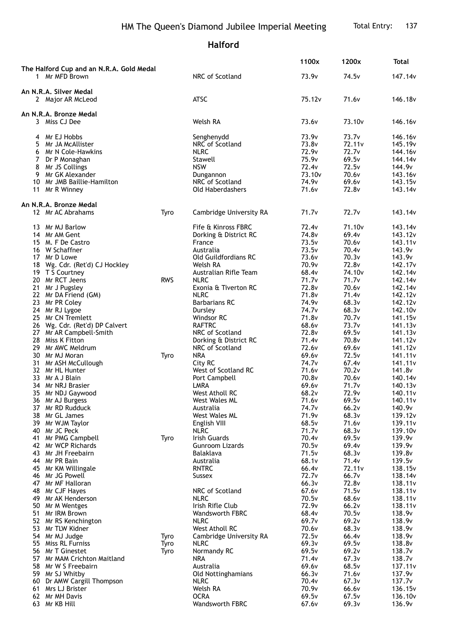## **Halford**

|                                                            |            |                                            | 1100x                      | 1200x              | <b>Total</b>                               |
|------------------------------------------------------------|------------|--------------------------------------------|----------------------------|--------------------|--------------------------------------------|
| The Halford Cup and an N.R.A. Gold Medal<br>1 Mr MFD Brown |            | NRC of Scotland                            | 73.9v                      | 74.5v              | 147.14v                                    |
| An N.R.A. Silver Medal<br>2 Major AR McLeod                |            | <b>ATSC</b>                                | 75.12v                     | 71.6v              | 146.18v                                    |
|                                                            |            |                                            |                            |                    |                                            |
| An N.R.A. Bronze Medal<br>3 Miss CJ Dee                    |            | Welsh RA                                   | 73.6 <sub>v</sub>          | 73.10 <sub>v</sub> | 146.16 <sub>v</sub>                        |
| 4 Mr EJ Hobbs                                              |            | Senghenydd                                 | 73.9 <sub>v</sub>          | 73.7v              | 146.16 <sub>v</sub>                        |
| 5<br>Mr JA McAllister                                      |            | NRC of Scotland                            | 73.8v                      | 72.11 <sub>v</sub> | 145.19v                                    |
| 6 Mr N Cole-Hawkins                                        |            | <b>NLRC</b>                                | 72.9v                      | 72.7 <sub>v</sub>  | 144.16v                                    |
| 7<br>Dr P Monaghan                                         |            | Stawell                                    | 75.9v                      | 69.5v              | 144.14 <sub>v</sub>                        |
| 8<br>Mr JS Collings                                        |            | <b>NSW</b>                                 | 72.4 <sub>v</sub>          | 72.5v              | 144.9v                                     |
| 9 Mr GK Alexander                                          |            | Dungannon                                  | 73.10 <sub>v</sub>         | 70.6v              | 143.16v                                    |
| Mr JMB Baillie-Hamilton<br>10<br>11 Mr R Winney            |            | NRC of Scotland<br><b>Old Haberdashers</b> | 74.9 <sub>v</sub><br>71.6v | 69.6v<br>72.8v     | 143.15 <sub>v</sub><br>143.14v             |
| An N.R.A. Bronze Medal                                     |            |                                            |                            |                    |                                            |
| 12 Mr AC Abrahams                                          | Tyro       | Cambridge University RA                    | 71.7 <sub>v</sub>          | 72.7v              | 143.14 <sub>V</sub>                        |
| 13 Mr MJ Barlow                                            |            | Fife & Kinross FBRC                        | 72.4 <sub>v</sub>          | 71.10 <sub>v</sub> | 143.14 <sub>V</sub>                        |
| 14 Mr AM Gent                                              |            | Dorking & District RC                      | 74.8v                      | 69.4v              | 143.12v                                    |
| 15 M. F De Castro                                          |            | France                                     | 73.5v                      | 70.6v              | 143.11v                                    |
| 16 W Schaffner                                             |            | Australia                                  | 73.5v                      | 70.4v              | 143.9v                                     |
| 17 Mr D Lowe                                               |            | Old Guildfordians RC                       | 73.6v<br>70.9v             | 70.3v<br>72.8v     | 143.9v                                     |
| 18 Wg. Cdr. (Ret'd) CJ Hockley<br>19 T S Courtney          |            | Welsh RA<br>Australian Rifle Team          | 68.4v                      | 74.10 <sub>v</sub> | 142.17 <sub>v</sub><br>142.14 <sub>V</sub> |
| 20 Mr RCT Jeens                                            | <b>RWS</b> | <b>NLRC</b>                                | 71.7v                      | 71.7v              | 142.14v                                    |
| 21 Mr J Pugsley                                            |            | Exonia & Tiverton RC                       | 72.8v                      | 70.6v              | 142.14v                                    |
| 22 Mr DA Friend (GM)                                       |            | <b>NLRC</b>                                | 71.8 <sub>v</sub>          | 71.4 <sub>v</sub>  | 142.12 <sub>v</sub>                        |
| 23 Mr PR Coley                                             |            | <b>Barbarians RC</b>                       | 74.9v                      | 68.3v              | 142.12v                                    |
| 24 Mr RJ Lygoe                                             |            | Dursley                                    | 74.7 <sub>v</sub>          | 68.3v              | 142.10 <sub>v</sub>                        |
| 25 Mr CN Tremlett                                          |            | Windsor RC                                 | 71.8 <sub>v</sub>          | 70.7v              | 141.15v                                    |
| 26 Wg. Cdr. (Ret'd) DP Calvert                             |            | <b>RAFTRC</b>                              | 68.6v                      | 73.7v              | 141.13v                                    |
| 27 Mr AR Campbell-Smith                                    |            | NRC of Scotland                            | 72.8v                      | 69.5v              | 141.13v                                    |
| 28 Miss K Fitton                                           |            | Dorking & District RC                      | 71.4v                      | 70.8v              | 141.12v                                    |
| 29 Mr AWC Meldrum<br>30 Mr MJ Moran                        | Tyro       | NRC of Scotland<br><b>NRA</b>              | 72.6v<br>69.6v             | 69.6v<br>72.5v     | 141.12v<br>141.11 <sub>v</sub>             |
| 31 Mr ASH McCullough                                       |            | City RC                                    | 74.7 <sub>v</sub>          | 67.4v              | 141.11 <sub>v</sub>                        |
| 32 Mr HL Hunter                                            |            | West of Scotland RC                        | 71.6v                      | 70.2v              | 141.8v                                     |
| 33 Mr A J Blain                                            |            | Port Campbell                              | 70.8v                      | 70.6v              | 140.14 <sub>v</sub>                        |
| 34 Mr NRJ Brasier                                          |            | <b>LMRA</b>                                | 69.6v                      | 71.7 <sub>v</sub>  | 140.13 <sub>v</sub>                        |
| 35 Mr NDJ Gaywood                                          |            | West Atholl RC                             | 68.2v                      | 72.9v              | 140.11 <sub>v</sub>                        |
| 36 Mr AJ Burgess                                           |            | West Wales ML                              | 71.6v                      | 69.5v              | 140.11v                                    |
| 37 Mr RD Rudduck                                           |            | Australia                                  | 74.7 <sub>v</sub>          | 66.2v              | 140.9v                                     |
| 38 Mr GL James                                             |            | West Wales ML                              | 71.9v                      | 68.3v<br>71.6v     | 139.12v                                    |
| 39 Mr WJM Taylor<br>Mr JC Peck<br>40                       |            | English VIII<br><b>NLRC</b>                | 68.5v<br>71.7v             | 68.3v              | 139.11 <sub>v</sub><br>139.10 <sub>v</sub> |
| 41 Mr PMG Campbell                                         | Tyro       | Irish Guards                               | 70.4v                      | 69.5v              | 139.9v                                     |
| 42 Mr WCP Richards                                         |            | <b>Gunroom Lizards</b>                     | 70.5v                      | 69.4v              | 139.9v                                     |
| 43 Mr JH Freebairn                                         |            | Balaklava                                  | 71.5v                      | 68.3v              | 139.8v                                     |
| 44 Mr PR Bain                                              |            | Australia                                  | 68.1v                      | 71.4v              | 139.5v                                     |
| 45 Mr KM Willingale                                        |            | <b>RNTRC</b>                               | 66.4v                      | 72.11 <sub>v</sub> | 138.15v                                    |
| 46 Mr JG Powell                                            |            | Sussex                                     | 72.7 <sub>v</sub>          | 66.7v              | 138.14 <sub>V</sub>                        |
| 47 Mr MF Halloran                                          |            |                                            | 66.3v                      | 72.8v              | 138.11v                                    |
| 48 Mr CJF Hayes                                            |            | NRC of Scotland                            | 67.6v                      | 71.5v              | 138.11v                                    |
| 49 Mr AK Henderson<br>50 Mr M Wentges                      |            | <b>NLRC</b><br>Irish Rifle Club            | 70.5v<br>72.9v             | 68.6v<br>66.2v     | 138.11 <sub>v</sub><br>138.11v             |
| 51 Mr IRM Brown                                            |            | <b>Wandsworth FBRC</b>                     | 68.4v                      | 70.5v              | 138.9v                                     |
| 52 Mr RS Kenchington                                       |            | <b>NLRC</b>                                | 69.7v                      | 69.2v              | 138.9v                                     |
| 53 Mr TLW Kidner                                           |            | West Atholl RC                             | 70.6v                      | 68.3v              | 138.9v                                     |
| 54 Mr MJ Judge                                             | Tyro       | Cambridge University RA                    | 72.5v                      | 66.4v              | 138.9v                                     |
| 55<br>Miss RL Furniss                                      | Tyro       | <b>NLRC</b>                                | 69.3v                      | 69.5v              | 138.8v                                     |
| 56 Mr T Ginestet                                           | Tyro       | Normandy RC                                | 69.5v                      | 69.2v              | 138.7v                                     |
| 57 Mr MAM Crichton Maitland                                |            | <b>NRA</b>                                 | 71.4v                      | 67.3v              | 138.7v                                     |
| 58<br>Mr W S Freebairn                                     |            | Australia                                  | 69.6v                      | 68.5v              | 137.11 <sub>v</sub>                        |
| 59 Mr SJ Whitby<br>60 Dr AMW Cargill Thompson              |            | Old Nottinghamians<br><b>NLRC</b>          | 66.3v<br>70.4v             | 71.6v<br>67.3v     | 137.9v<br>137.7 <sub>v</sub>               |
| 61 Mrs LJ Brister                                          |            | Welsh RA                                   | 70.9v                      | 66.6v              | 136.15v                                    |
| 62 Mr MH Davis                                             |            | <b>OCRA</b>                                | 69.5v                      | 67.5v              | 136.10 <sub>v</sub>                        |
| 63 Mr KB Hill                                              |            | Wandsworth FBRC                            | 67.6v                      | 69.3v              | 136.9v                                     |